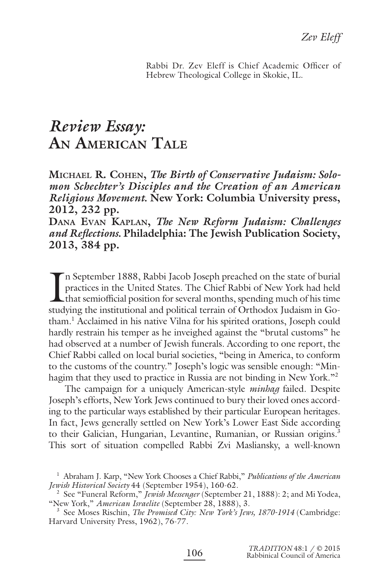Rabbi Dr. Zev Eleff is Chief Academic Officer of Hebrew Theological College in Skokie, IL.

# *Review Essay:* **AN AMERICAN TALE**

**MICHAEL R. COHEN,** *The Birth of Conservative Judaism: Solomon Schechter's Disciples and the Creation of an American Religious Movement.* **New York: Columbia University press, 2012, 232 pp.**

**DANA EVAN KAPLAN,** *The New Reform Judaism: Challenges and Refl ections.* **Philadelphia: The Jewish Publication Society, 2013, 384 pp.**

I<br>stud n September 1888, Rabbi Jacob Joseph preached on the state of burial practices in the United States. The Chief Rabbi of New York had held that semiofficial position for several months, spending much of his time studying the institutional and political terrain of Orthodox Judaism in Gotham.1 Acclaimed in his native Vilna for his spirited orations, Joseph could hardly restrain his temper as he inveighed against the "brutal customs" he had observed at a number of Jewish funerals. According to one report, the Chief Rabbi called on local burial societies, "being in America, to conform to the customs of the country." Joseph's logic was sensible enough: "Minhagim that they used to practice in Russia are not binding in New York."<sup>2</sup>

The campaign for a uniquely American-style *minhag* failed. Despite Joseph's efforts, New York Jews continued to bury their loved ones according to the particular ways established by their particular European heritages. In fact, Jews generally settled on New York's Lower East Side according to their Galician, Hungarian, Levantine, Rumanian, or Russian origins.<sup>3</sup> This sort of situation compelled Rabbi Zvi Masliansky, a well-known

<sup>&</sup>lt;sup>1</sup> Abraham J. Karp, "New York Chooses a Chief Rabbi," *Publications of the American Jewish Historical Society* 44 (September 1954), 160-62.

<sup>2</sup> See "Funeral Reform," *Jewish Messenger* (September 21, 1888): 2; and Mi Yodea, "New York," *American Israelite* (September 28, 1888), 3.

<sup>3</sup> See Moses Rischin, *The Promised City: New York's Jews, 1870-1914* (Cambridge: Harvard University Press, 1962), 76-77.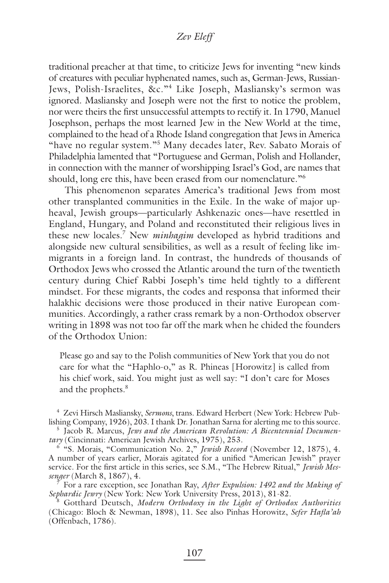traditional preacher at that time, to criticize Jews for inventing "new kinds of creatures with peculiar hyphenated names, such as, German-Jews, Russian-Jews, Polish-Israelites, &c."<sup>4</sup> Like Joseph, Masliansky's sermon was ignored. Masliansky and Joseph were not the first to notice the problem, nor were theirs the first unsuccessful attempts to rectify it. In 1790, Manuel Josephson, perhaps the most learned Jew in the New World at the time, complained to the head of a Rhode Island congregation that Jews in America "have no regular system."<sup>5</sup> Many decades later, Rev. Sabato Morais of Philadelphia lamented that "Portuguese and German, Polish and Hollander, in connection with the manner of worshipping Israel's God, are names that should, long ere this, have been erased from our nomenclature."6

This phenomenon separates America's traditional Jews from most other transplanted communities in the Exile. In the wake of major upheaval, Jewish groups—particularly Ashkenazic ones—have resettled in England, Hungary, and Poland and reconstituted their religious lives in these new locales.<sup>7</sup> New *minhagim* developed as hybrid traditions and alongside new cultural sensibilities, as well as a result of feeling like immigrants in a foreign land. In contrast, the hundreds of thousands of Orthodox Jews who crossed the Atlantic around the turn of the twentieth century during Chief Rabbi Joseph's time held tightly to a different mindset. For these migrants, the codes and responsa that informed their halakhic decisions were those produced in their native European communities. Accordingly, a rather crass remark by a non-Orthodox observer writing in 1898 was not too far off the mark when he chided the founders of the Orthodox Union:

Please go and say to the Polish communities of New York that you do not care for what the "Haphlo-o," as R. Phineas [Horowitz] is called from his chief work, said. You might just as well say: "I don't care for Moses and the prophets.<sup>8</sup>

4 Zevi Hirsch Masliansky, *Sermons*, trans. Edward Herbert (New York: Hebrew Publishing Company, 1926), 203. I thank Dr. Jonathan Sarna for alerting me to this source.

5 Jacob R. Marcus, *Jews and the American Revolution: A Bicentennial Documentary* (Cincinnati: American Jewish Archives, 1975), 253.

6 "S. Morais, "Communication No. 2," *Jewish Record* (November 12, 1875), 4. A number of years earlier, Morais agitated for a unified "American Jewish" prayer service. For the first article in this series, see S.M., "The Hebrew Ritual," Jewish Mes*senger* (March 8, 1867), 4.

7 For a rare exception, see Jonathan Ray, *After Expulsion: 1492 and the Making of Sephardic Jewry* (New York: New York University Press, 2013), 81-82.

8 Gotthard Deutsch, *Modern Orthodoxy in the Light of Orthodox Authorities* (Chicago: Bloch & Newman, 1898), 11. See also Pinhas Horowitz, *Sefer Hafla'ah* (Offenbach, 1786).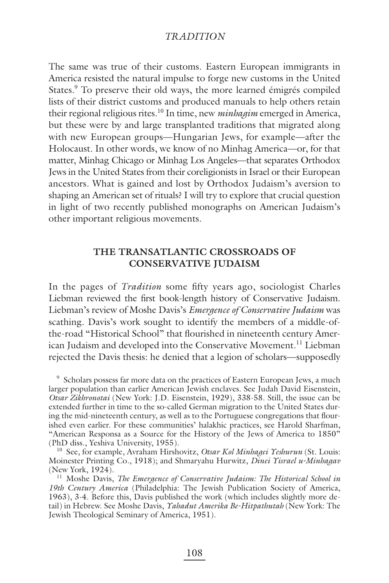The same was true of their customs. Eastern European immigrants in America resisted the natural impulse to forge new customs in the United States.<sup>9</sup> To preserve their old ways, the more learned émigrés compiled lists of their district customs and produced manuals to help others retain their regional religious rites.10 In time, new *minhagim* emerged in America, but these were by and large transplanted traditions that migrated along with new European groups—Hungarian Jews, for example—after the Holocaust. In other words, we know of no Minhag America—or, for that matter, Minhag Chicago or Minhag Los Angeles—that separates Orthodox Jews in the United States from their coreligionists in Israel or their European ancestors. What is gained and lost by Orthodox Judaism's aversion to shaping an American set of rituals? I will try to explore that crucial question in light of two recently published monographs on American Judaism's other important religious movements.

# **THE TRANSATLANTIC CROSSROADS OF CONSERVATIVE JUDAISM**

In the pages of *Tradition* some fifty years ago, sociologist Charles Liebman reviewed the first book-length history of Conservative Judaism. Liebman's review of Moshe Davis's *Emergence of Conservative Judaism* was scathing. Davis's work sought to identify the members of a middle-ofthe-road "Historical School" that flourished in nineteenth century American Judaism and developed into the Conservative Movement.<sup>11</sup> Liebman rejected the Davis thesis: he denied that a legion of scholars—supposedly

9 Scholars possess far more data on the practices of Eastern European Jews, a much larger population than earlier American Jewish enclaves. See Judah David Eisenstein, *Otsar Zikhronotai* (New York: J.D. Eisenstein, 1929), 338-58. Still, the issue can be extended further in time to the so-called German migration to the United States during the mid-nineteenth century, as well as to the Portuguese congregations that flourished even earlier. For these communities' halakhic practices, see Harold Sharfman, "American Responsa as a Source for the History of the Jews of America to 1850" (PhD diss., Yeshiva University, 1955).

10 See, for example, Avraham Hirshovitz, *Otsar Kol Minhagei Yeshurun* (St. Louis: Moinester Printing Co., 1918); and Shmaryahu Hurwitz, *Dinei Yisrael u-Minhagav* (New York, 1924).

<sup>11</sup> Moshe Davis, *The Emergence of Conservative Judaism: The Historical School in 19th Century America* (Philadelphia: The Jewish Publication Society of America, 1963), 3-4. Before this, Davis published the work (which includes slightly more detail) in Hebrew. See Moshe Davis, *Yahadut Amerika Be-Hitpathutah* (New York: The Jewish Theological Seminary of America, 1951).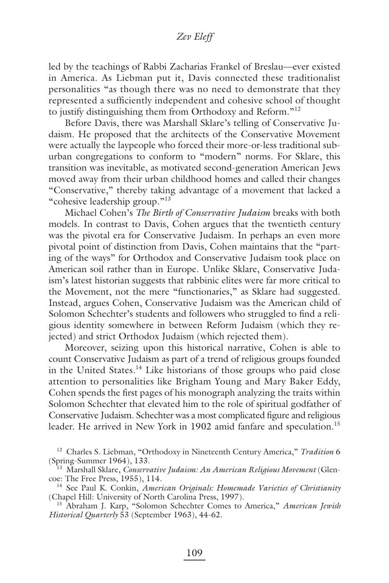led by the teachings of Rabbi Zacharias Frankel of Breslau—ever existed in America. As Liebman put it, Davis connected these traditionalist personalities "as though there was no need to demonstrate that they represented a sufficiently independent and cohesive school of thought to justify distinguishing them from Orthodoxy and Reform."<sup>12</sup>

Before Davis, there was Marshall Sklare's telling of Conservative Judaism. He proposed that the architects of the Conservative Movement were actually the laypeople who forced their more-or-less traditional suburban congregations to conform to "modern" norms. For Sklare, this transition was inevitable, as motivated second-generation American Jews moved away from their urban childhood homes and called their changes "Conservative," thereby taking advantage of a movement that lacked a "cohesive leadership group."<sup>13</sup>

Michael Cohen's *The Birth of Conservative Judaism* breaks with both models. In contrast to Davis, Cohen argues that the twentieth century was the pivotal era for Conservative Judaism. In perhaps an even more pivotal point of distinction from Davis, Cohen maintains that the "parting of the ways" for Orthodox and Conservative Judaism took place on American soil rather than in Europe. Unlike Sklare, Conservative Judaism's latest historian suggests that rabbinic elites were far more critical to the Movement, not the mere "functionaries," as Sklare had suggested. Instead, argues Cohen, Conservative Judaism was the American child of Solomon Schechter's students and followers who struggled to find a religious identity somewhere in between Reform Judaism (which they rejected) and strict Orthodox Judaism (which rejected them).

Moreover, seizing upon this historical narrative, Cohen is able to count Conservative Judaism as part of a trend of religious groups founded in the United States. $14$  Like historians of those groups who paid close attention to personalities like Brigham Young and Mary Baker Eddy, Cohen spends the first pages of his monograph analyzing the traits within Solomon Schechter that elevated him to the role of spiritual godfather of Conservative Judaism. Schechter was a most complicated figure and religious leader. He arrived in New York in 1902 amid fanfare and speculation.<sup>15</sup>

<sup>12</sup> Charles S. Liebman, "Orthodoxy in Nineteenth Century America," *Tradition* 6 (Spring-Summer 1964), 133.

<sup>13</sup> Marshall Sklare, *Conservative Judaism: An American Religious Movement* (Glencoe: The Free Press, 1955), 114.

<sup>14</sup> See Paul K. Conkin, *American Originals: Homemade Varieties of Christianity* (Chapel Hill: University of North Carolina Press, 1997).

<sup>15</sup> Abraham J. Karp, "Solomon Schechter Comes to America," *American Jewish Historical Quarterly* 53 (September 1963), 44-62.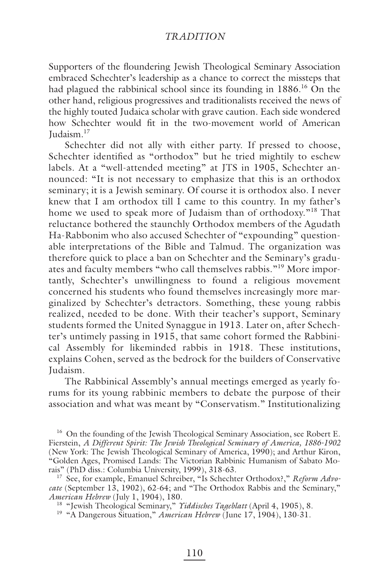Supporters of the floundering Jewish Theological Seminary Association embraced Schechter's leadership as a chance to correct the missteps that had plagued the rabbinical school since its founding in 1886.<sup>16</sup> On the other hand, religious progressives and traditionalists received the news of the highly touted Judaica scholar with grave caution. Each side wondered how Schechter would fit in the two-movement world of American Judaism.17

Schechter did not ally with either party. If pressed to choose, Schechter identified as "orthodox" but he tried mightily to eschew labels. At a "well-attended meeting" at JTS in 1905, Schechter announced: "It is not necessary to emphasize that this is an orthodox seminary; it is a Jewish seminary. Of course it is orthodox also. I never knew that I am orthodox till I came to this country. In my father's home we used to speak more of Judaism than of orthodoxy."<sup>18</sup> That reluctance bothered the staunchly Orthodox members of the Agudath Ha-Rabbonim who also accused Schechter of "expounding" questionable interpretations of the Bible and Talmud. The organization was therefore quick to place a ban on Schechter and the Seminary's graduates and faculty members "who call themselves rabbis."19 More importantly, Schechter's unwillingness to found a religious movement concerned his students who found themselves increasingly more marginalized by Schechter's detractors. Something, these young rabbis realized, needed to be done. With their teacher's support, Seminary students formed the United Synaggue in 1913. Later on, after Schechter's untimely passing in 1915, that same cohort formed the Rabbinical Assembly for likeminded rabbis in 1918. These institutions, explains Cohen, served as the bedrock for the builders of Conservative Judaism.

The Rabbinical Assembly's annual meetings emerged as yearly forums for its young rabbinic members to debate the purpose of their association and what was meant by "Conservatism." Institutionalizing

<sup>16</sup> On the founding of the Jewish Theological Seminary Association, see Robert E. Fierstein, *A Different Spirit: The Jewish Theological Seminary of America, 1886-1902* (New York: The Jewish Theological Seminary of America, 1990); and Arthur Kiron, "Golden Ages, Promised Lands: The Victorian Rabbinic Humanism of Sabato Morais" (PhD diss.: Columbia University, 1999), 318-63.

17 See, for example, Emanuel Schreiber, "Is Schechter Orthodox?," *Reform Advocate* (September 13, 1902), 62-64; and "The Orthodox Rabbis and the Seminary," *American Hebrew* (July 1, 1904), 180.

18 "Jewish Theological Seminary," *Yiddisches Tageblatt* (April 4, 1905), 8.

<sup>19</sup> "A Dangerous Situation," American Hebrew (June 17, 1904), 130-31.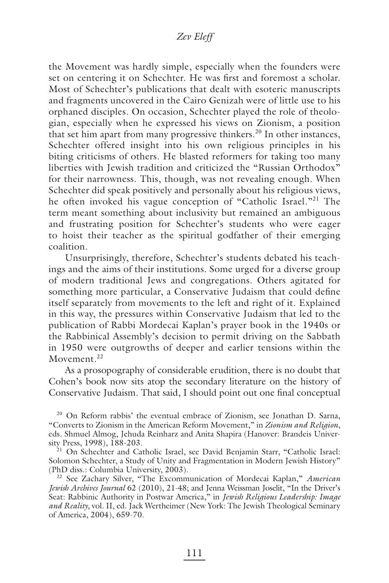the Movement was hardly simple, especially when the founders were set on centering it on Schechter. He was first and foremost a scholar. Most of Schechter's publications that dealt with esoteric manuscripts and fragments uncovered in the Cairo Genizah were of little use to his orphaned disciples. On occasion, Schechter played the role of theologian, especially when he expressed his views on Zionism, a position that set him apart from many progressive thinkers.<sup>20</sup> In other instances, Schechter offered insight into his own religious principles in his biting criticisms of others. He blasted reformers for taking too many liberties with Jewish tradition and criticized the "Russian Orthodox" for their narrowness. This, though, was not revealing enough. When Schechter did speak positively and personally about his religious views, he often invoked his vague conception of "Catholic Israel."<sup>21</sup> The term meant something about inclusivity but remained an ambiguous and frustrating position for Schechter's students who were eager to hoist their teacher as the spiritual godfather of their emerging coalition.

Unsurprisingly, therefore, Schechter's students debated his teachings and the aims of their institutions. Some urged for a diverse group of modern traditional Jews and congregations. Others agitated for something more particular, a Conservative Judaism that could define itself separately from movements to the left and right of it. Explained in this way, the pressures within Conservative Judaism that led to the publication of Rabbi Mordecai Kaplan's prayer book in the 1940s or the Rabbinical Assembly's decision to permit driving on the Sabbath in 1950 were outgrowths of deeper and earlier tensions within the Movement.<sup>22</sup>

As a prosopography of considerable erudition, there is no doubt that Cohen's book now sits atop the secondary literature on the history of Conservative Judaism. That said, I should point out one final conceptual

<sup>&</sup>lt;sup>20</sup> On Reform rabbis' the eventual embrace of Zionism, see Jonathan D. Sarna, "Converts to Zionism in the American Reform Movement," in *Zionism and Religion*, eds. Shmuel Almog, Jehuda Reinharz and Anita Shapira (Hanover: Brandeis University Press, 1998), 188-203.

<sup>&</sup>lt;sup>21</sup> On Schechter and Catholic Israel, see David Benjamin Starr, "Catholic Israel: Solomon Schechter, a Study of Unity and Fragmentation in Modern Jewish History" (PhD diss.: Columbia University, 2003).

<sup>22</sup> See Zachary Silver, "The Excommunication of Mordecai Kaplan," *American Jewish Archives Journal* 62 (2010), 21-48; and Jenna Weissman Joselit, "In the Driver's Seat: Rabbinic Authority in Postwar America," in *Jewish Religious Leadership: Image and Reality*, vol. II, ed. Jack Wertheimer (New York: The Jewish Theological Seminary of America, 2004), 659-70.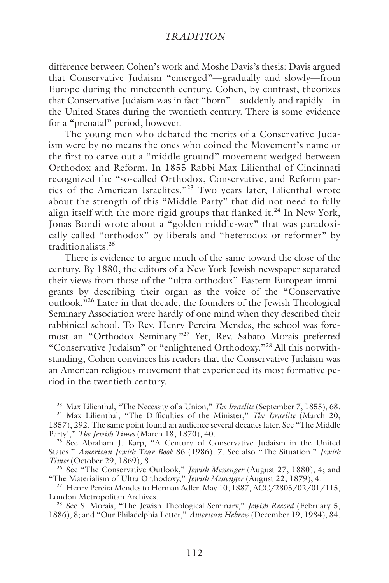difference between Cohen's work and Moshe Davis's thesis: Davis argued that Conservative Judaism "emerged"—gradually and slowly—from Europe during the nineteenth century. Cohen, by contrast, theorizes that Conservative Judaism was in fact "born"—suddenly and rapidly—in the United States during the twentieth century. There is some evidence for a "prenatal" period, however.

The young men who debated the merits of a Conservative Judaism were by no means the ones who coined the Movement's name or the first to carve out a "middle ground" movement wedged between Orthodox and Reform. In 1855 Rabbi Max Lilienthal of Cincinnati recognized the "so-called Orthodox, Conservative, and Reform parties of the American Israelites."23 Two years later, Lilienthal wrote about the strength of this "Middle Party" that did not need to fully align itself with the more rigid groups that flanked it.<sup>24</sup> In New York, Jonas Bondi wrote about a "golden middle-way" that was paradoxically called "orthodox" by liberals and "heterodox or reformer" by traditionalists.<sup>25</sup>

There is evidence to argue much of the same toward the close of the century. By 1880, the editors of a New York Jewish newspaper separated their views from those of the "ultra-orthodox" Eastern European immigrants by describing their organ as the voice of the "Conservative outlook."26 Later in that decade, the founders of the Jewish Theological Seminary Association were hardly of one mind when they described their rabbinical school. To Rev. Henry Pereira Mendes, the school was foremost an "Orthodox Seminary."27 Yet, Rev. Sabato Morais preferred "Conservative Judaism" or "enlightened Orthodoxy."28 All this notwithstanding, Cohen convinces his readers that the Conservative Judaism was an American religious movement that experienced its most formative period in the twentieth century.

23 Max Lilienthal, "The Necessity of a Union," *The Israelite* (September 7, 1855), 68.

<sup>24</sup> Max Lilienthal, "The Difficulties of the Minister," *The Israelite* (March 20, 1857), 292. The same point found an audience several decades later. See "The Middle Party!," *The Jewish Times* (March 18, 1870), 40.

<sup>25</sup> See Abraham J. Karp, "A Century of Conservative Judaism in the United States," *American Jewish Year Book* 86 (1986), 7. See also "The Situation," *Jewish Times* (October 29, 1869), 8.

26 See "The Conservative Outlook," *Jewish Messenger* (August 27, 1880), 4; and "The Materialism of Ultra Orthodoxy," *Jewish Messenger* (August 22, 1879), 4.

<sup>27</sup> Henry Pereira Mendes to Herman Adler, May 10, 1887, ACC/2805/02/01/115, London Metropolitan Archives.

28 See S. Morais, "The Jewish Theological Seminary," *Jewish Record* (February 5, 1886), 8; and "Our Philadelphia Letter," *American Hebrew* (December 19, 1984), 84.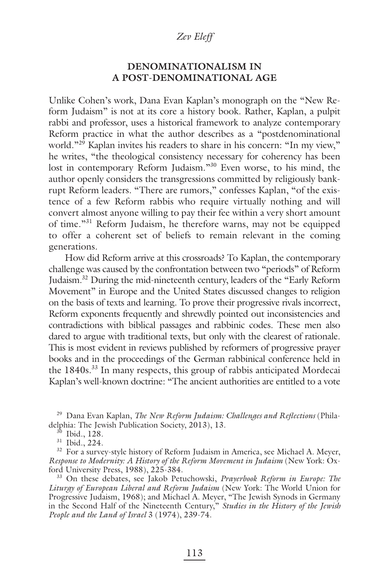## **DENOMINATIONALISM IN A POST-DENOMINATIONAL AGE**

Unlike Cohen's work, Dana Evan Kaplan's monograph on the "New Reform Judaism" is not at its core a history book. Rather, Kaplan, a pulpit rabbi and professor, uses a historical framework to analyze contemporary Reform practice in what the author describes as a "postdenominational world."<sup>29</sup> Kaplan invites his readers to share in his concern: "In my view," he writes, "the theological consistency necessary for coherency has been lost in contemporary Reform Judaism."<sup>30</sup> Even worse, to his mind, the author openly considers the transgressions committed by religiously bankrupt Reform leaders. "There are rumors," confesses Kaplan, "of the existence of a few Reform rabbis who require virtually nothing and will convert almost anyone willing to pay their fee within a very short amount of time."31 Reform Judaism, he therefore warns, may not be equipped to offer a coherent set of beliefs to remain relevant in the coming generations.

How did Reform arrive at this crossroads? To Kaplan, the contemporary challenge was caused by the confrontation between two "periods" of Reform Judaism.32 During the mid-nineteenth century, leaders of the "Early Reform Movement" in Europe and the United States discussed changes to religion on the basis of texts and learning. To prove their progressive rivals incorrect, Reform exponents frequently and shrewdly pointed out inconsistencies and contradictions with biblical passages and rabbinic codes. These men also dared to argue with traditional texts, but only with the clearest of rationale. This is most evident in reviews published by reformers of progressive prayer books and in the proceedings of the German rabbinical conference held in the 1840s.<sup>33</sup> In many respects, this group of rabbis anticipated Mordecai Kaplan's well-known doctrine: "The ancient authorities are entitled to a vote

<sup>29</sup> Dana Evan Kaplan, *The New Reform Judaism: Challenges and Reflections* (Philadelphia: The Jewish Publication Society, 2013), 13.

 $^{50}$  Ibid., 128.

31 Ibid., 224.

<sup>32</sup> For a survey-style history of Reform Judaism in America, see Michael A. Meyer, *Response to Modernity: A History of the Reform Movement in Judaism* (New York: Oxford University Press, 1988), 225-384.

33 On these debates, see Jakob Petuchowski, *Prayerbook Reform in Europe: The Liturgy of European Liberal and Reform Judaism* (New York: The World Union for Progressive Judaism, 1968); and Michael A. Meyer, "The Jewish Synods in Germany in the Second Half of the Nineteenth Century," *Studies in the History of the Jewish People and the Land of Israel* 3 (1974), 239-74.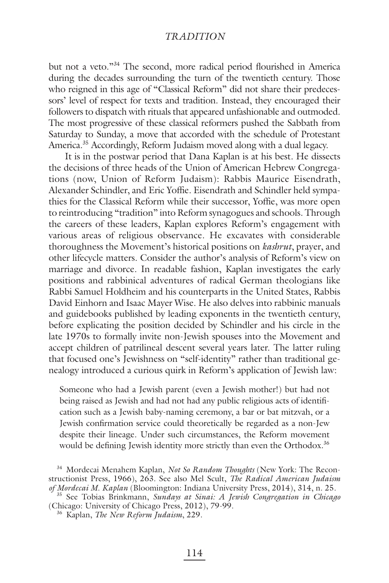but not a veto."<sup>34</sup> The second, more radical period flourished in America during the decades surrounding the turn of the twentieth century. Those who reigned in this age of "Classical Reform" did not share their predecessors' level of respect for texts and tradition. Instead, they encouraged their followers to dispatch with rituals that appeared unfashionable and outmoded. The most progressive of these classical reformers pushed the Sabbath from Saturday to Sunday, a move that accorded with the schedule of Protestant America.<sup>35</sup> Accordingly, Reform Judaism moved along with a dual legacy.

It is in the postwar period that Dana Kaplan is at his best. He dissects the decisions of three heads of the Union of American Hebrew Congregations (now, Union of Reform Judaism): Rabbis Maurice Eisendrath, Alexander Schindler, and Eric Yoffie. Eisendrath and Schindler held sympathies for the Classical Reform while their successor, Yoffie, was more open to reintroducing "tradition" into Reform synagogues and schools. Through the careers of these leaders, Kaplan explores Reform's engagement with various areas of religious observance. He excavates with considerable thoroughness the Movement's historical positions on *kashrut*, prayer, and other lifecycle matters. Consider the author's analysis of Reform's view on marriage and divorce. In readable fashion, Kaplan investigates the early positions and rabbinical adventures of radical German theologians like Rabbi Samuel Holdheim and his counterparts in the United States, Rabbis David Einhorn and Isaac Mayer Wise. He also delves into rabbinic manuals and guidebooks published by leading exponents in the twentieth century, before explicating the position decided by Schindler and his circle in the late 1970s to formally invite non-Jewish spouses into the Movement and accept children of patrilineal descent several years later. The latter ruling that focused one's Jewishness on "self-identity" rather than traditional genealogy introduced a curious quirk in Reform's application of Jewish law:

Someone who had a Jewish parent (even a Jewish mother!) but had not being raised as Jewish and had not had any public religious acts of identification such as a Jewish baby-naming ceremony, a bar or bat mitzvah, or a Jewish confirmation service could theoretically be regarded as a non-Jew despite their lineage. Under such circumstances, the Reform movement would be defining Jewish identity more strictly than even the Orthodox.<sup>36</sup>

<sup>34</sup> Mordecai Menahem Kaplan, *Not So Random Thoughts* (New York: The Reconstructionist Press, 1966), 263. See also Mel Scult, *The Radical American Judaism of Mordecai M. Kaplan* (Bloomington: Indiana University Press, 2014), 314, n. 25.

<sup>35</sup> See Tobias Brinkmann, *Sundays at Sinai: A Jewish Congregation in Chicago* (Chicago: University of Chicago Press, 2012), 79-99.

<sup>36</sup> Kaplan, *The New Reform Judaism*, 229.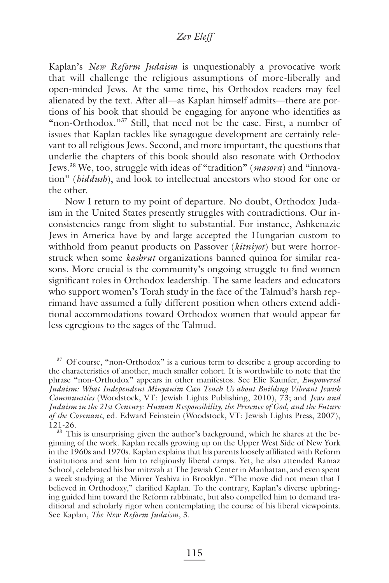Kaplan's *New Reform Judaism* is unquestionably a provocative work that will challenge the religious assumptions of more-liberally and open-minded Jews. At the same time, his Orthodox readers may feel alienated by the text. After all—as Kaplan himself admits—there are portions of his book that should be engaging for anyone who identifies as "non-Orthodox."37 Still, that need not be the case. First, a number of issues that Kaplan tackles like synagogue development are certainly relevant to all religious Jews. Second, and more important, the questions that underlie the chapters of this book should also resonate with Orthodox Jews.38 We, too, struggle with ideas of "tradition" (*masora*) and "innovation" (*hiddush*), and look to intellectual ancestors who stood for one or the other.

Now I return to my point of departure. No doubt, Orthodox Judaism in the United States presently struggles with contradictions. Our inconsistencies range from slight to substantial. For instance, Ashkenazic Jews in America have by and large accepted the Hungarian custom to withhold from peanut products on Passover (*kitniyot*) but were horrorstruck when some *kashrut* organizations banned quinoa for similar reasons. More crucial is the community's ongoing struggle to find women significant roles in Orthodox leadership. The same leaders and educators who support women's Torah study in the face of the Talmud's harsh reprimand have assumed a fully different position when others extend additional accommodations toward Orthodox women that would appear far less egregious to the sages of the Talmud.

<sup>37</sup> Of course, "non-Orthodox" is a curious term to describe a group according to the characteristics of another, much smaller cohort. It is worthwhile to note that the phrase "non-Orthodox" appears in other manifestos. See Elie Kaunfer, *Empowered Judaism: What Independent Minyanim Can Teach Us about Building Vibrant Jewish Communities* (Woodstock, VT: Jewish Lights Publishing, 2010), 73; and *Jews and Judaism in the 21st Century: Human Responsibility, the Presence of God, and the Future of the Covenant*, ed. Edward Feinstein (Woodstock, VT: Jewish Lights Press, 2007), 121-26.

<sup>38</sup> This is unsurprising given the author's background, which he shares at the beginning of the work. Kaplan recalls growing up on the Upper West Side of New York in the 1960s and 1970s. Kaplan explains that his parents loosely affiliated with Reform institutions and sent him to religiously liberal camps. Yet, he also attended Ramaz School, celebrated his bar mitzvah at The Jewish Center in Manhattan, and even spent a week studying at the Mirrer Yeshiva in Brooklyn. "The move did not mean that I believed in Orthodoxy," clarified Kaplan. To the contrary, Kaplan's diverse upbringing guided him toward the Reform rabbinate, but also compelled him to demand traditional and scholarly rigor when contemplating the course of his liberal viewpoints. See Kaplan, *The New Reform Judaism*, 3.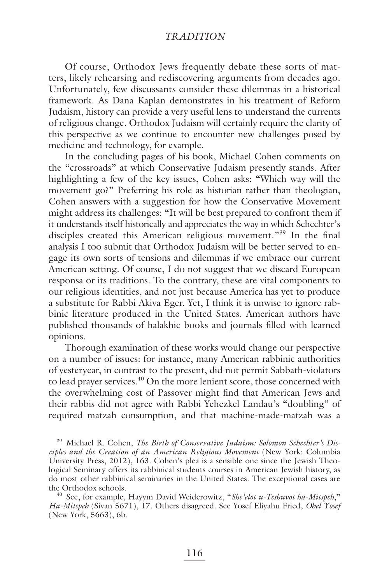Of course, Orthodox Jews frequently debate these sorts of matters, likely rehearsing and rediscovering arguments from decades ago. Unfortunately, few discussants consider these dilemmas in a historical framework. As Dana Kaplan demonstrates in his treatment of Reform Judaism, history can provide a very useful lens to understand the currents of religious change. Orthodox Judaism will certainly require the clarity of this perspective as we continue to encounter new challenges posed by medicine and technology, for example.

In the concluding pages of his book, Michael Cohen comments on the "crossroads" at which Conservative Judaism presently stands. After highlighting a few of the key issues, Cohen asks: "Which way will the movement go?" Preferring his role as historian rather than theologian, Cohen answers with a suggestion for how the Conservative Movement might address its challenges: "It will be best prepared to confront them if it understands itself historically and appreciates the way in which Schechter's disciples created this American religious movement."<sup>39</sup> In the final analysis I too submit that Orthodox Judaism will be better served to engage its own sorts of tensions and dilemmas if we embrace our current American setting. Of course, I do not suggest that we discard European responsa or its traditions. To the contrary, these are vital components to our religious identities, and not just because America has yet to produce a substitute for Rabbi Akiva Eger. Yet, I think it is unwise to ignore rabbinic literature produced in the United States. American authors have published thousands of halakhic books and journals filled with learned opinions.

Thorough examination of these works would change our perspective on a number of issues: for instance, many American rabbinic authorities of yesteryear, in contrast to the present, did not permit Sabbath-violators to lead prayer services.<sup>40</sup> On the more lenient score, those concerned with the overwhelming cost of Passover might find that American Jews and their rabbis did not agree with Rabbi Yehezkel Landau's "doubling" of required matzah consumption, and that machine-made-matzah was a

39 Michael R. Cohen, *The Birth of Conservative Judaism: Solomon Schechter's Disciples and the Creation of an American Religious Movement* (New York: Columbia University Press, 2012), 163. Cohen's plea is a sensible one since the Jewish Theological Seminary offers its rabbinical students courses in American Jewish history, as do most other rabbinical seminaries in the United States. The exceptional cases are the Orthodox schools. 40 See, for example, Hayym David Weiderowitz, "*She'elot u-Teshuvot ha-Mitspeh*,"

*Ha-Mitspeh* (Sivan 5671), 17. Others disagreed. See Yosef Eliyahu Fried, *Ohel Yosef* (New York, 5663), 6b.